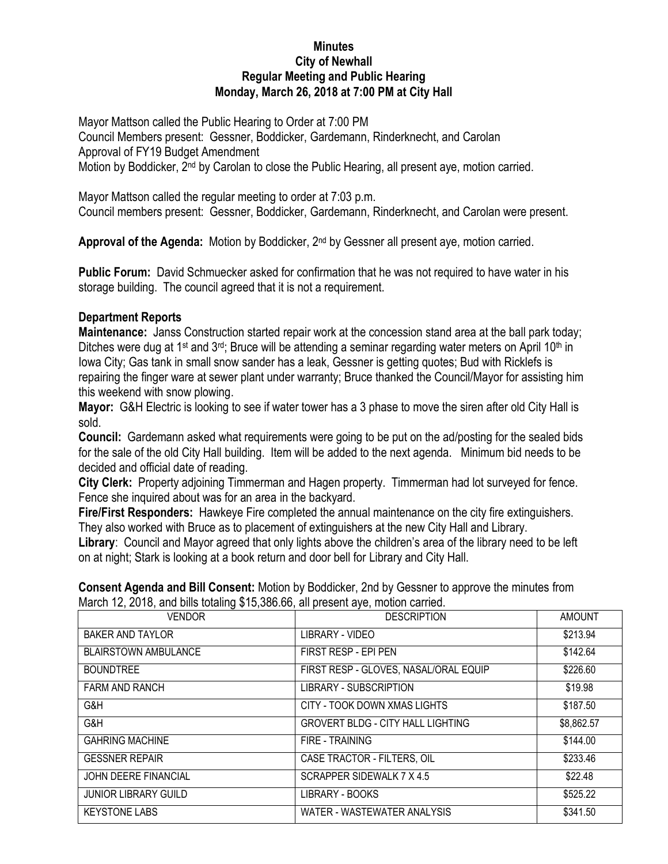## **Minutes City of Newhall Regular Meeting and Public Hearing Monday, March 26, 2018 at 7:00 PM at City Hall**

Mayor Mattson called the Public Hearing to Order at 7:00 PM Council Members present: Gessner, Boddicker, Gardemann, Rinderknecht, and Carolan Approval of FY19 Budget Amendment Motion by Boddicker, 2<sup>nd</sup> by Carolan to close the Public Hearing, all present aye, motion carried.

Mayor Mattson called the regular meeting to order at 7:03 p.m. Council members present: Gessner, Boddicker, Gardemann, Rinderknecht, and Carolan were present.

Approval of the Agenda: Motion by Boddicker, 2<sup>nd</sup> by Gessner all present aye, motion carried.

**Public Forum:** David Schmuecker asked for confirmation that he was not required to have water in his storage building. The council agreed that it is not a requirement.

## **Department Reports**

**Maintenance:** Janss Construction started repair work at the concession stand area at the ball park today; Ditches were dug at 1<sup>st</sup> and 3<sup>rd</sup>; Bruce will be attending a seminar regarding water meters on April 10<sup>th</sup> in Iowa City; Gas tank in small snow sander has a leak, Gessner is getting quotes; Bud with Ricklefs is repairing the finger ware at sewer plant under warranty; Bruce thanked the Council/Mayor for assisting him this weekend with snow plowing.

**Mayor:** G&H Electric is looking to see if water tower has a 3 phase to move the siren after old City Hall is sold.

**Council:** Gardemann asked what requirements were going to be put on the ad/posting for the sealed bids for the sale of the old City Hall building. Item will be added to the next agenda. Minimum bid needs to be decided and official date of reading.

**City Clerk:** Property adjoining Timmerman and Hagen property. Timmerman had lot surveyed for fence. Fence she inquired about was for an area in the backyard.

**Fire/First Responders:** Hawkeye Fire completed the annual maintenance on the city fire extinguishers. They also worked with Bruce as to placement of extinguishers at the new City Hall and Library.

**Library**: Council and Mayor agreed that only lights above the children's area of the library need to be left on at night; Stark is looking at a book return and door bell for Library and City Hall.

| <b>VENDOR</b>               | <b>DESCRIPTION</b>                       | <b>AMOUNT</b> |
|-----------------------------|------------------------------------------|---------------|
| <b>BAKER AND TAYLOR</b>     | LIBRARY - VIDEO                          | \$213.94      |
| <b>BLAIRSTOWN AMBULANCE</b> | FIRST RESP - EPI PEN                     | \$142.64      |
| <b>BOUNDTREE</b>            | FIRST RESP - GLOVES, NASAL/ORAL EQUIP    | \$226.60      |
| <b>FARM AND RANCH</b>       | <b>LIBRARY - SUBSCRIPTION</b>            | \$19.98       |
| G&H                         | CITY - TOOK DOWN XMAS LIGHTS             | \$187.50      |
| G&H                         | <b>GROVERT BLDG - CITY HALL LIGHTING</b> | \$8,862.57    |
| <b>GAHRING MACHINE</b>      | FIRE - TRAINING                          | \$144.00      |
| <b>GESSNER REPAIR</b>       | CASE TRACTOR - FILTERS, OIL              | \$233.46      |
| <b>JOHN DEERE FINANCIAL</b> | SCRAPPER SIDEWALK 7 X 4.5                | \$22.48       |
| <b>JUNIOR LIBRARY GUILD</b> | LIBRARY - BOOKS                          | \$525.22      |
| <b>KEYSTONE LABS</b>        | WATER - WASTEWATER ANALYSIS              | \$341.50      |

**Consent Agenda and Bill Consent:** Motion by Boddicker, 2nd by Gessner to approve the minutes from March 12, 2018, and bills totaling \$15,386.66, all present ave, motion carried.